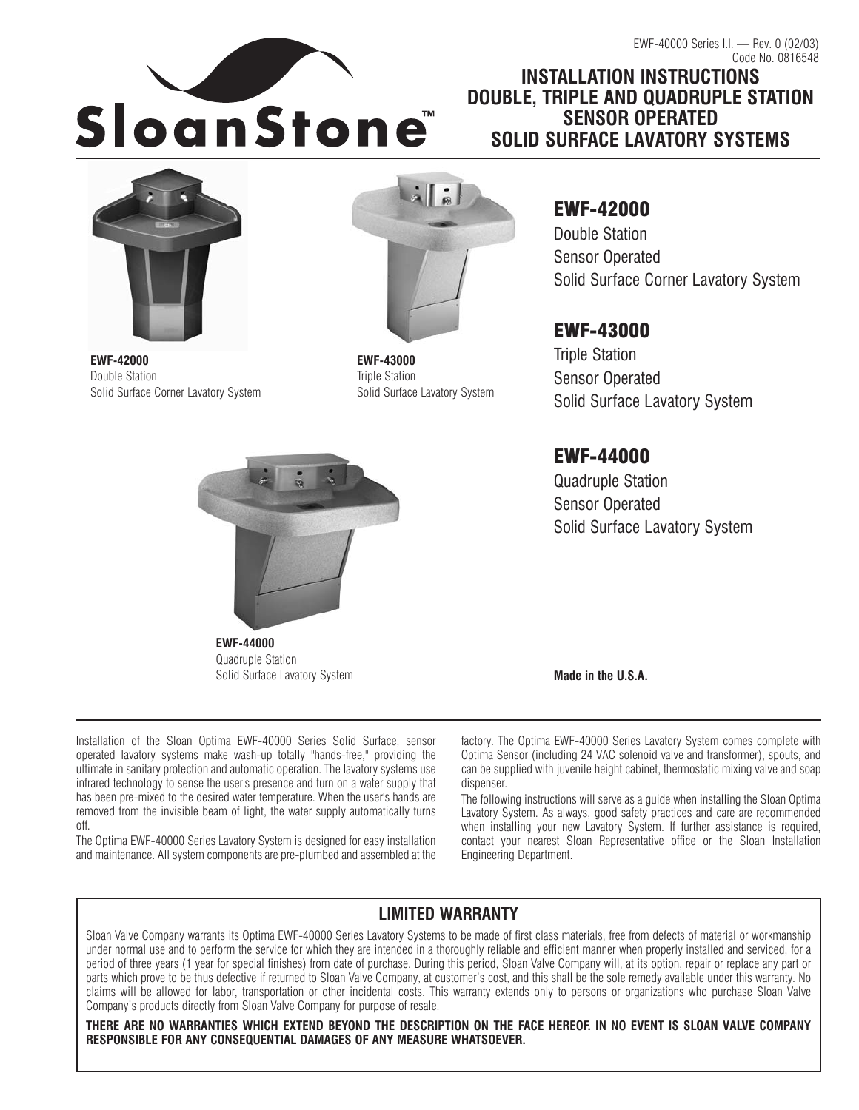

**INSTALLATION INSTRUCTIONS DOUBLE, TRIPLE AND QUADRUPLE STATION SENSOR OPERATED SOLID SURFACE LAVATORY SYSTEMS**



**EWF-42000** Double Station Solid Surface Corner Lavatory System



**EWF-43000** Triple Station Solid Surface Lavatory System EWF-42000 Double Station Sensor Operated Solid Surface Corner Lavatory System

# EWF-43000

Triple Station Sensor Operated Solid Surface Lavatory System

# EWF-44000

Quadruple Station Sensor Operated Solid Surface Lavatory System



Quadruple Station Solid Surface Lavatory System

**Made in the U.S.A.**

Installation of the Sloan Optima EWF-40000 Series Solid Surface, sensor operated lavatory systems make wash-up totally "hands-free," providing the ultimate in sanitary protection and automatic operation. The lavatory systems use infrared technology to sense the user's presence and turn on a water supply that has been pre-mixed to the desired water temperature. When the user's hands are removed from the invisible beam of light, the water supply automatically turns off.

The Optima EWF-40000 Series Lavatory System is designed for easy installation and maintenance. All system components are pre-plumbed and assembled at the factory. The Optima EWF-40000 Series Lavatory System comes complete with Optima Sensor (including 24 VAC solenoid valve and transformer), spouts, and can be supplied with juvenile height cabinet, thermostatic mixing valve and soap dispenser.

The following instructions will serve as a guide when installing the Sloan Optima Lavatory System. As always, good safety practices and care are recommended when installing your new Lavatory System. If further assistance is required, contact your nearest Sloan Representative office or the Sloan Installation Engineering Department.

# **LIMITED WARRANTY**

Sloan Valve Company warrants its Optima EWF-40000 Series Lavatory Systems to be made of first class materials, free from defects of material or workmanship under normal use and to perform the service for which they are intended in a thoroughly reliable and efficient manner when properly installed and serviced, for a period of three years (1 year for special finishes) from date of purchase. During this period, Sloan Valve Company will, at its option, repair or replace any part or parts which prove to be thus defective if returned to Sloan Valve Company, at customer's cost, and this shall be the sole remedy available under this warranty. No claims will be allowed for labor, transportation or other incidental costs. This warranty extends only to persons or organizations who purchase Sloan Valve Company's products directly from Sloan Valve Company for purpose of resale.

**THERE ARE NO WARRANTIES WHICH EXTEND BEYOND THE DESCRIPTION ON THE FACE HEREOF. IN NO EVENT IS SLOAN VALVE COMPANY RESPONSIBLE FOR ANY CONSEQUENTIAL DAMAGES OF ANY MEASURE WHATSOEVER.**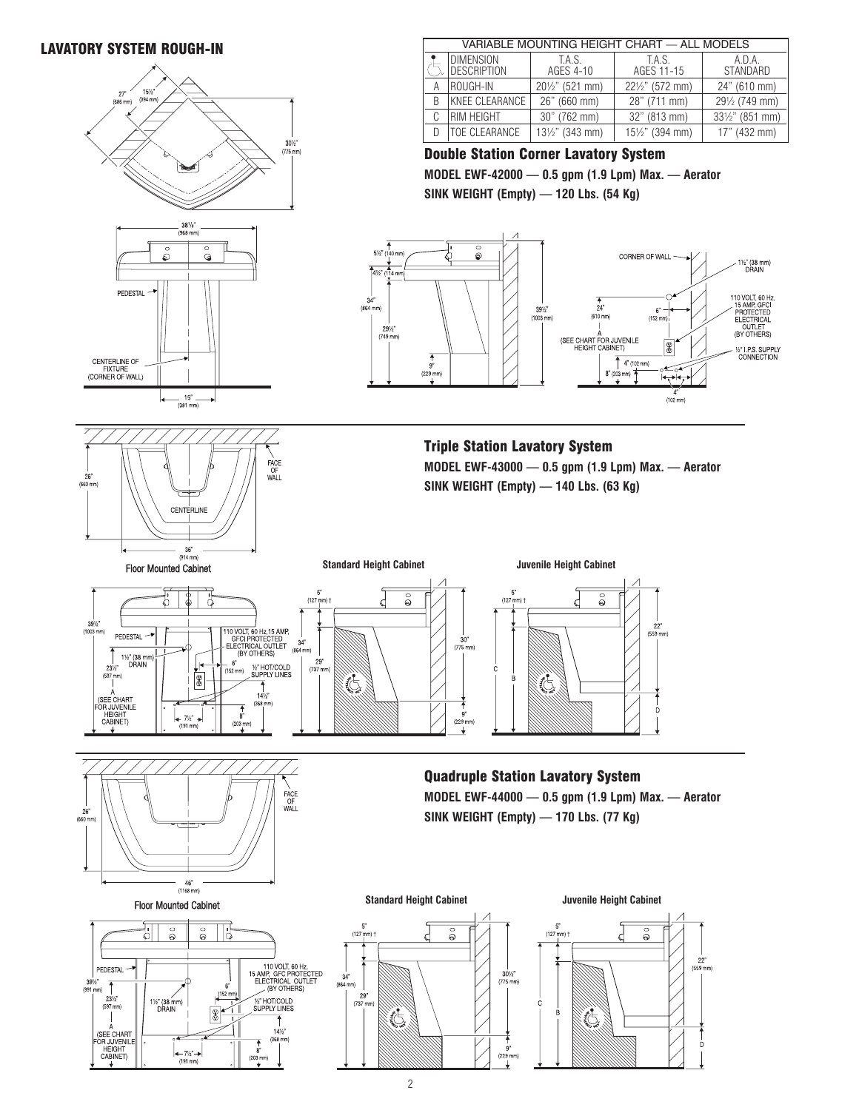# LAVATORY SYSTEM ROUGH-IN



| $(968$ mm)                                          |                   |  |  |  |
|-----------------------------------------------------|-------------------|--|--|--|
|                                                     | $\bullet$<br>စိ   |  |  |  |
| PEDESTAL                                            |                   |  |  |  |
| CENTERLINE OF<br><b>FIXTURE</b><br>(CORNER OF WALL) |                   |  |  |  |
|                                                     | 15"<br>$(381$ mm) |  |  |  |



Floor Mounted Cabinet











# Double Station Corner Lavatory System **MODEL EWF-42000 — 0.5 gpm (1.9 Lpm) Max. — Aerator**

**SINK WEIGHT (Empty) — 120 Lbs. (54 Kg)**



Triple Station Lavatory System **MODEL EWF-43000 — 0.5 gpm (1.9 Lpm) Max. — Aerator SINK WEIGHT (Empty) — 140 Lbs. (63 Kg)**





Quadruple Station Lavatory System **MODEL EWF-44000 — 0.5 gpm (1.9 Lpm) Max. — Aerator SINK WEIGHT (Empty) — 170 Lbs. (77 Kg)**



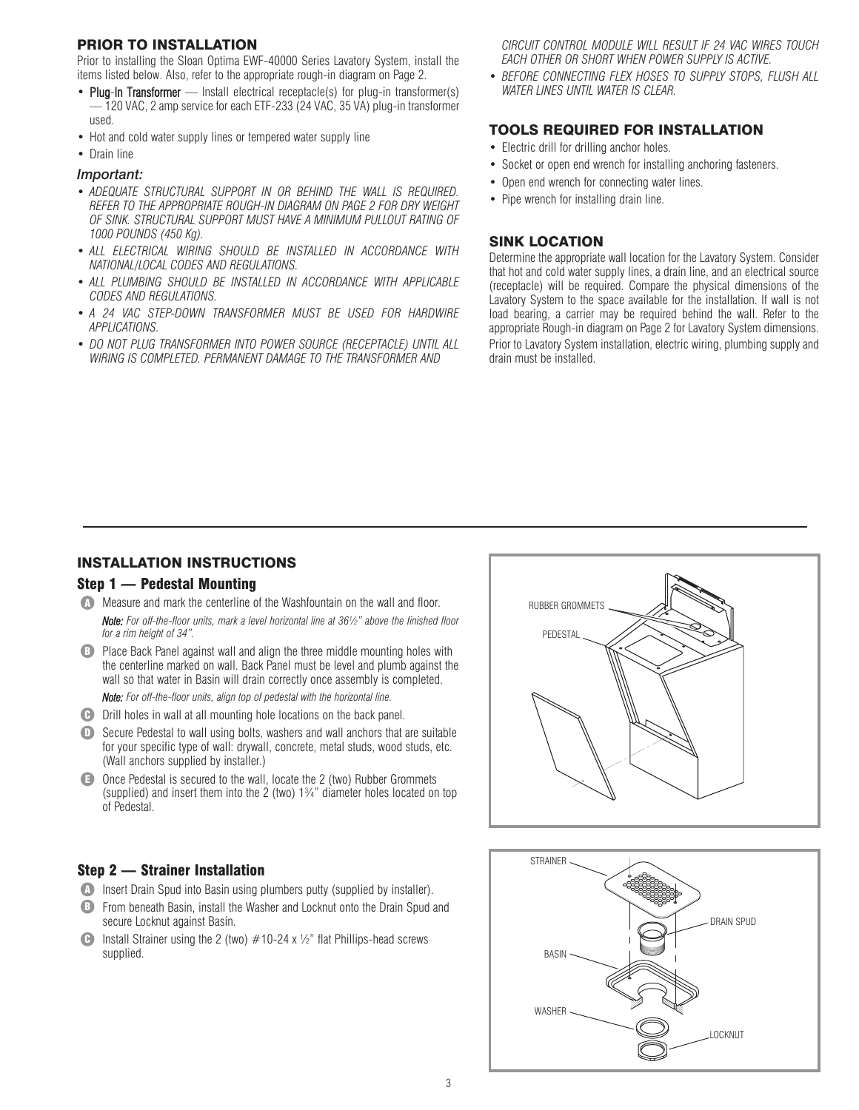#### PRIOR TO INSTALLATION

Prior to installing the Sloan Optima EWF-40000 Series Lavatory System, install the items listed below. Also, refer to the appropriate rough-in diagram on Page 2.

- Plug-In Transformer Install electrical receptacle(s) for plug-in transformer(s) — 120 VAC, 2 amp service for each ETF-233 (24 VAC, 35 VA) plug-in transformer used.
- Hot and cold water supply lines or tempered water supply line
- Drain line

#### *Important:*

- *ADEQUATE STRUCTURAL SUPPORT IN OR BEHIND THE WALL IS REQUIRED. REFER TO THE APPROPRIATE ROUGH-IN DIAGRAM ON PAGE 2 FOR DRY WEIGHT OF SINK. STRUCTURAL SUPPORT MUST HAVE A MINIMUM PULLOUT RATING OF 1000 POUNDS (450 Kg).*
- *ALL ELECTRICAL WIRING SHOULD BE INSTALLED IN ACCORDANCE WITH NATIONAL/LOCAL CODES AND REGULATIONS.*
- *ALL PLUMBING SHOULD BE INSTALLED IN ACCORDANCE WITH APPLICABLE CODES AND REGULATIONS.*
- *A 24 VAC STEP-DOWN TRANSFORMER MUST BE USED FOR HARDWIRE APPLICATIONS.*
- *DO NOT PLUG TRANSFORMER INTO POWER SOURCE (RECEPTACLE) UNTIL ALL WIRING IS COMPLETED. PERMANENT DAMAGE TO THE TRANSFORMER AND*

*CIRCUIT CONTROL MODULE WILL RESULT IF 24 VAC WIRES TOUCH EACH OTHER OR SHORT WHEN POWER SUPPLY IS ACTIVE.*

• *BEFORE CONNECTING FLEX HOSES TO SUPPLY STOPS, FLUSH ALL WATER LINES UNTIL WATER IS CLEAR.*

# TOOLS REQUIRED FOR INSTALLATION

- Electric drill for drilling anchor holes.
- Socket or open end wrench for installing anchoring fasteners.
- Open end wrench for connecting water lines.
- Pipe wrench for installing drain line.

### SINK LOCATION

Determine the appropriate wall location for the Lavatory System. Consider that hot and cold water supply lines, a drain line, and an electrical source (receptacle) will be required. Compare the physical dimensions of the Lavatory System to the space available for the installation. If wall is not load bearing, a carrier may be required behind the wall. Refer to the appropriate Rough-in diagram on Page 2 for Lavatory System dimensions. Prior to Lavatory System installation, electric wiring, plumbing supply and drain must be installed.

### INSTALLATION INSTRUCTIONS

#### Step 1 — Pedestal Mounting

- **A** Measure and mark the centerline of the Washfountain on the wall and floor. *Note: For off-the-floor units, mark a level horizontal line at 36½" above the finished floor for a rim height of 34".*
- **B** Place Back Panel against wall and align the three middle mounting holes with the centerline marked on wall. Back Panel must be level and plumb against the wall so that water in Basin will drain correctly once assembly is completed. *Note: For off-the-floor units, align top of pedestal with the horizontal line.*
- **D** Drill holes in wall at all mounting hole locations on the back panel.
- D Secure Pedestal to wall using bolts, washers and wall anchors that are suitable for your specific type of wall: drywall, concrete, metal studs, wood studs, etc. (Wall anchors supplied by installer.)
- **E** Once Pedestal is secured to the wall, locate the 2 (two) Rubber Grommets (supplied) and insert them into the 2 (two) 1¾" diameter holes located on top of Pedestal.

### Step 2 — Strainer Installation

- **A** Insert Drain Spud into Basin using plumbers putty (supplied by installer).
- **B** From beneath Basin, install the Washer and Locknut onto the Drain Spud and secure Locknut against Basin.
- Install Strainer using the 2 (two)  $#10-24 \times \frac{1}{2}$ " flat Phillips-head screws supplied. C



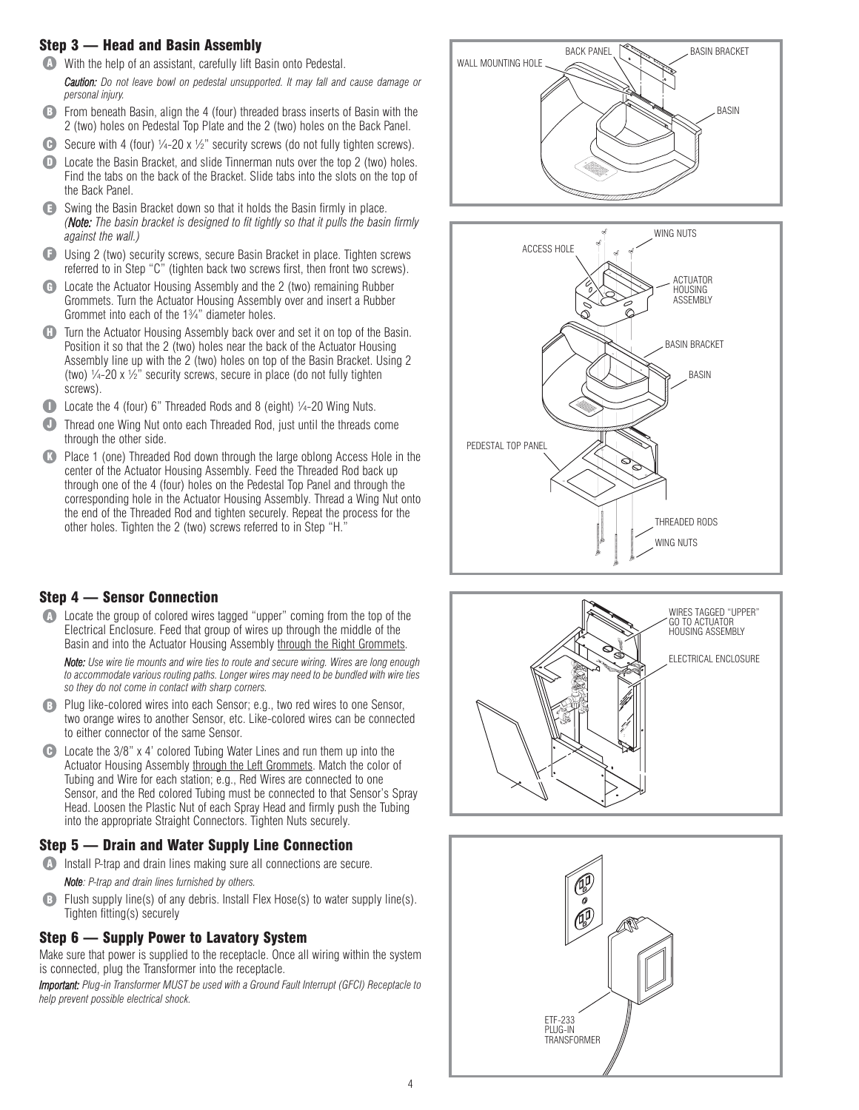# Step 3 — Head and Basin Assembly

- **A** With the help of an assistant, carefully lift Basin onto Pedestal.
- *Caution: Do not leave bowl on pedestal unsupported. It may fall and cause damage or personal injury.*
- **B** From beneath Basin, align the 4 (four) threaded brass inserts of Basin with the 2 (two) holes on Pedestal Top Plate and the 2 (two) holes on the Back Panel.
- G Secure with 4 (four)  $\frac{1}{4}$ -20 x  $\frac{1}{2}$  security screws (do not fully tighten screws).
- Locate the Basin Bracket, and slide Tinnerman nuts over the top 2 (two) holes. Find the tabs on the back of the Bracket. Slide tabs into the slots on the top of the Back Panel.  $\mathbf{O}$
- **E** Swing the Basin Bracket down so that it holds the Basin firmly in place. *(Note: The basin bracket is designed to fit tightly so that it pulls the basin firmly against the wall.)*
- **E** Using 2 (two) security screws, secure Basin Bracket in place. Tighten screws referred to in Step "C" (tighten back two screws first, then front two screws).
- **G** Locate the Actuator Housing Assembly and the 2 (two) remaining Rubber Grommets. Turn the Actuator Housing Assembly over and insert a Rubber Grommet into each of the 1¾" diameter holes.
- Turn the Actuator Housing Assembly back over and set it on top of the Basin. Position it so that the 2 (two) holes near the back of the Actuator Housing Assembly line up with the 2 (two) holes on top of the Basin Bracket. Using 2 (two)  $\frac{1}{4}$ -20 x  $\frac{1}{2}$ " security screws, secure in place (do not fully tighten screws).  $\bf G$
- **D** Locate the 4 (four) 6" Threaded Rods and 8 (eight)  $\frac{1}{4}$ -20 Wing Nuts.
- Thread one Wing Nut onto each Threaded Rod, just until the threads come through the other side.  $\bullet$
- Place 1 (one) Threaded Rod down through the large oblong Access Hole in the center of the Actuator Housing Assembly. Feed the Threaded Rod back up through one of the 4 (four) holes on the Pedestal Top Panel and through the corresponding hole in the Actuator Housing Assembly. Thread a Wing Nut onto the end of the Threaded Rod and tighten securely. Repeat the process for the other holes. Tighten the 2 (two) screws referred to in Step "H."  $\bullet$

# Step 4 — Sensor Connection

**A** Locate the group of colored wires tagged "upper" coming from the top of the Electrical Enclosure. Feed that group of wires up through the middle of the Basin and into the Actuator Housing Assembly through the Right Grommets.

*Note: Use wire tie mounts and wire ties to route and secure wiring. Wires are long enough to accommodate various routing paths. Longer wires may need to be bundled with wire ties so they do not come in contact with sharp corners.*

- B Plug like-colored wires into each Sensor; e.g., two red wires to one Sensor, two orange wires to another Sensor, etc. Like-colored wires can be connected to either connector of the same Sensor.
- **C** Locate the 3/8" x 4' colored Tubing Water Lines and run them up into the Actuator Housing Assembly through the Left Grommets. Match the color of Tubing and Wire for each station; e.g., Red Wires are connected to one Sensor, and the Red colored Tubing must be connected to that Sensor's Spray Head. Loosen the Plastic Nut of each Spray Head and firmly push the Tubing into the appropriate Straight Connectors. Tighten Nuts securely.

# Step 5 — Drain and Water Supply Line Connection

- **A** Install P-trap and drain lines making sure all connections are secure. *Note: P-trap and drain lines furnished by others.*
- **B** Flush supply line(s) of any debris. Install Flex Hose(s) to water supply line(s). Tighten fitting(s) securely

# Step 6 — Supply Power to Lavatory System

Make sure that power is supplied to the receptacle. Once all wiring within the system is connected, plug the Transformer into the receptacle.

*Important: Plug-in Transformer MUST be used with a Ground Fault Interrupt (GFCI) Receptacle to help prevent possible electrical shock.*







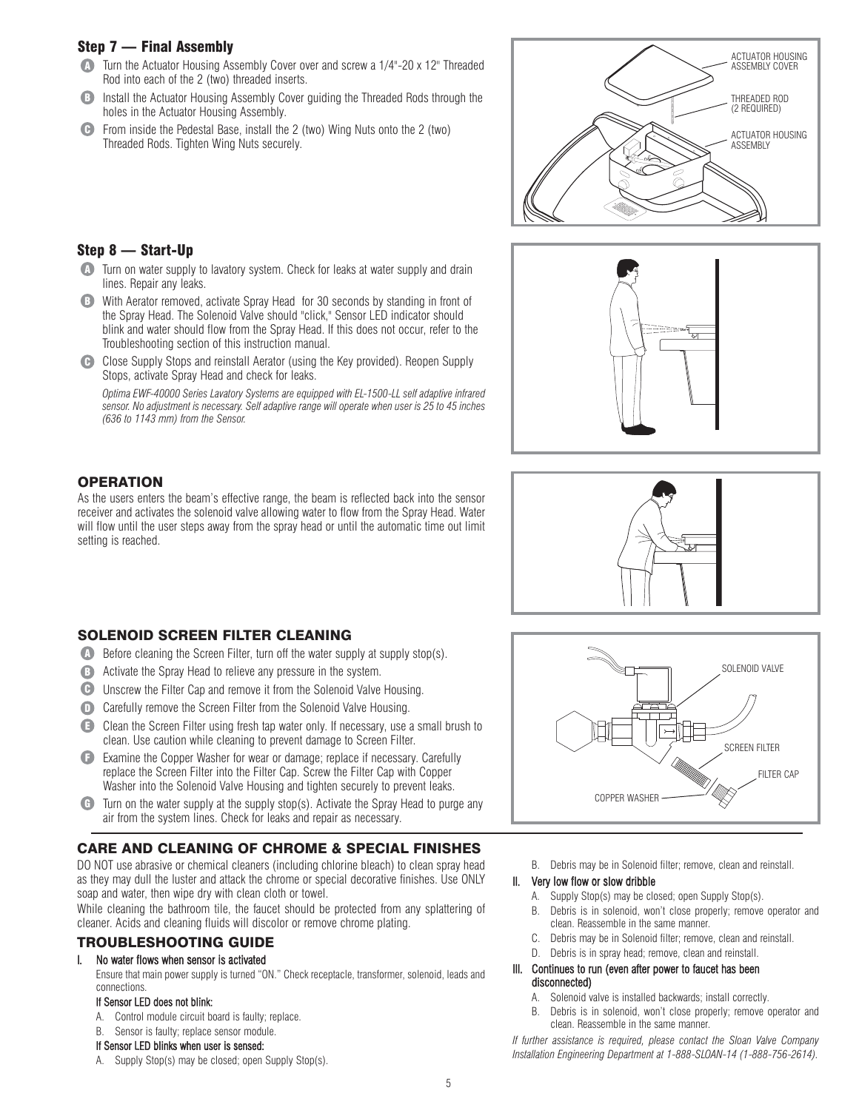# Step 7 — Final Assembly

- **A** Turn the Actuator Housing Assembly Cover over and screw a 1/4"-20 x 12" Threaded Rod into each of the 2 (two) threaded inserts.
- **B** Install the Actuator Housing Assembly Cover guiding the Threaded Rods through the holes in the Actuator Housing Assembly.
- From inside the Pedestal Base, install the 2 (two) Wing Nuts onto the 2 (two) Threaded Rods. Tighten Wing Nuts securely.  $\bigcap$





- **A** Turn on water supply to lavatory system. Check for leaks at water supply and drain lines. Repair any leaks.
- **B** With Aerator removed, activate Spray Head for 30 seconds by standing in front of the Spray Head. The Solenoid Valve should "click," Sensor LED indicator should blink and water should flow from the Spray Head. If this does not occur, refer to the Troubleshooting section of this instruction manual.
- **C** Close Supply Stops and reinstall Aerator (using the Key provided). Reopen Supply Stops, activate Spray Head and check for leaks.

*Optima EWF-40000 Series Lavatory Systems are equipped with EL-1500-LL self adaptive infrared sensor. No adjustment is necessary. Self adaptive range will operate when user is 25 to 45 inches (636 to 1143 mm) from the Sensor.*

# **OPERATION**

As the users enters the beam's effective range, the beam is reflected back into the sensor receiver and activates the solenoid valve allowing water to flow from the Spray Head. Water will flow until the user steps away from the spray head or until the automatic time out limit setting is reached.

- SOLENOID SCREEN FILTER CLEANING
- **A** Before cleaning the Screen Filter, turn off the water supply at supply stop(s).
- **B** Activate the Spray Head to relieve any pressure in the system.
- **C** Unscrew the Filter Cap and remove it from the Solenoid Valve Housing.
- D Carefully remove the Screen Filter from the Solenoid Valve Housing.
- **E** Clean the Screen Filter using fresh tap water only. If necessary, use a small brush to clean. Use caution while cleaning to prevent damage to Screen Filter.
- Examine the Copper Washer for wear or damage; replace if necessary. Carefully F replace the Screen Filter into the Filter Cap. Screw the Filter Cap with Copper Washer into the Solenoid Valve Housing and tighten securely to prevent leaks.
- **G** Turn on the water supply at the supply stop(s). Activate the Spray Head to purge any air from the system lines. Check for leaks and repair as necessary.

# CARE AND CLEANING OF CHROME & SPECIAL FINISHES

DO NOT use abrasive or chemical cleaners (including chlorine bleach) to clean spray head as they may dull the luster and attack the chrome or special decorative finishes. Use ONLY soap and water, then wipe dry with clean cloth or towel.

While cleaning the bathroom tile, the faucet should be protected from any splattering of cleaner. Acids and cleaning fluids will discolor or remove chrome plating.

### TROUBLESHOOTING GUIDE

## I. No water flows when sensor is activated

Ensure that main power supply is turned "ON." Check receptacle, transformer, solenoid, leads and connections.

#### If Sensor LED does not blink:

- A. Control module circuit board is faulty; replace.
- B. Sensor is faulty; replace sensor module.

#### If Sensor LED blinks when user is sensed:

A. Supply Stop(s) may be closed; open Supply Stop(s).







B. Debris may be in Solenoid filter; remove, clean and reinstall.

#### II. Very low flow or slow dribble

- A. Supply Stop(s) may be closed; open Supply Stop(s).
- B. Debris is in solenoid, won't close properly; remove operator and clean. Reassemble in the same manner.
- C. Debris may be in Solenoid filter; remove, clean and reinstall.
- D. Debris is in spray head; remove, clean and reinstall.

#### III. Continues to run (even after power to faucet has been disconnected)

- A. Solenoid valve is installed backwards; install correctly.
- B. Debris is in solenoid, won't close properly; remove operator and clean. Reassemble in the same manner.

*If further assistance is required, please contact the Sloan Valve Company Installation Engineering Department at 1-888-SLOAN-14 (1-888-756-2614).*